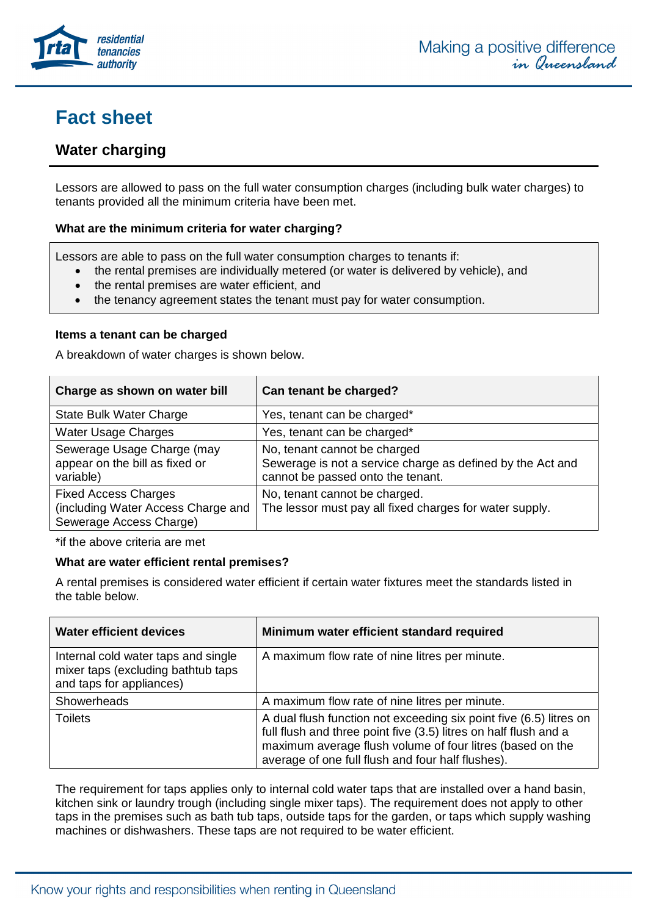

# **Fact sheet**

# **Water charging**

Lessors are allowed to pass on the full water consumption charges (including bulk water charges) to tenants provided all the minimum criteria have been met.

### **What are the minimum criteria for water charging?**

Lessors are able to pass on the full water consumption charges to tenants if:

- the rental premises are individually metered (or water is delivered by vehicle), and
- the rental premises are water efficient, and
- the tenancy agreement states the tenant must pay for water consumption.

#### **Items a tenant can be charged**

A breakdown of water charges is shown below.

| Charge as shown on water bill                                                                | Can tenant be charged?                                                                                                          |
|----------------------------------------------------------------------------------------------|---------------------------------------------------------------------------------------------------------------------------------|
| <b>State Bulk Water Charge</b>                                                               | Yes, tenant can be charged*                                                                                                     |
| <b>Water Usage Charges</b>                                                                   | Yes, tenant can be charged*                                                                                                     |
| Sewerage Usage Charge (may<br>appear on the bill as fixed or<br>variable)                    | No, tenant cannot be charged<br>Sewerage is not a service charge as defined by the Act and<br>cannot be passed onto the tenant. |
| <b>Fixed Access Charges</b><br>(including Water Access Charge and<br>Sewerage Access Charge) | No, tenant cannot be charged.<br>The lessor must pay all fixed charges for water supply.                                        |

\*if the [above criteria](https://www.rta.qld.gov.au/sitecore/shell/Controls/Rich%20Text%20Editor/EditorPage.aspx?da=core&id=%7b658597DA-9BC8-4A97-99BF-D4DD4FDA3C1E%7d&ed=FIELD1167496462&vs&la=en&fld=%7b7D75A00D-C26C-40DD-BB19-4DD529333FA9%7d&so=%2fsitecore%2fsystem%2fSettings%2fHtml+Editor+Profiles%2fRTA+Rich+Text+Profile&di=0&hdl=H1167496538&us=sitecore%5ckirsty&mo&pe=0#anchor1) are met

#### **What are water efficient rental premises?**

A rental premises is considered water efficient if certain water fixtures meet the standards listed in the table below.

| <b>Water efficient devices</b>                                                                         | Minimum water efficient standard required                                                                                                                                                                                                                |
|--------------------------------------------------------------------------------------------------------|----------------------------------------------------------------------------------------------------------------------------------------------------------------------------------------------------------------------------------------------------------|
| Internal cold water taps and single<br>mixer taps (excluding bathtub taps)<br>and taps for appliances) | A maximum flow rate of nine litres per minute.                                                                                                                                                                                                           |
| Showerheads                                                                                            | A maximum flow rate of nine litres per minute.                                                                                                                                                                                                           |
| <b>Toilets</b>                                                                                         | A dual flush function not exceeding six point five (6.5) litres on<br>full flush and three point five (3.5) litres on half flush and a<br>maximum average flush volume of four litres (based on the<br>average of one full flush and four half flushes). |

The requirement for taps applies only to internal cold water taps that are installed over a hand basin, kitchen sink or laundry trough (including single mixer taps). The requirement does not apply to other taps in the premises such as bath tub taps, outside taps for the garden, or taps which supply washing machines or dishwashers. These taps are not required to be water efficient.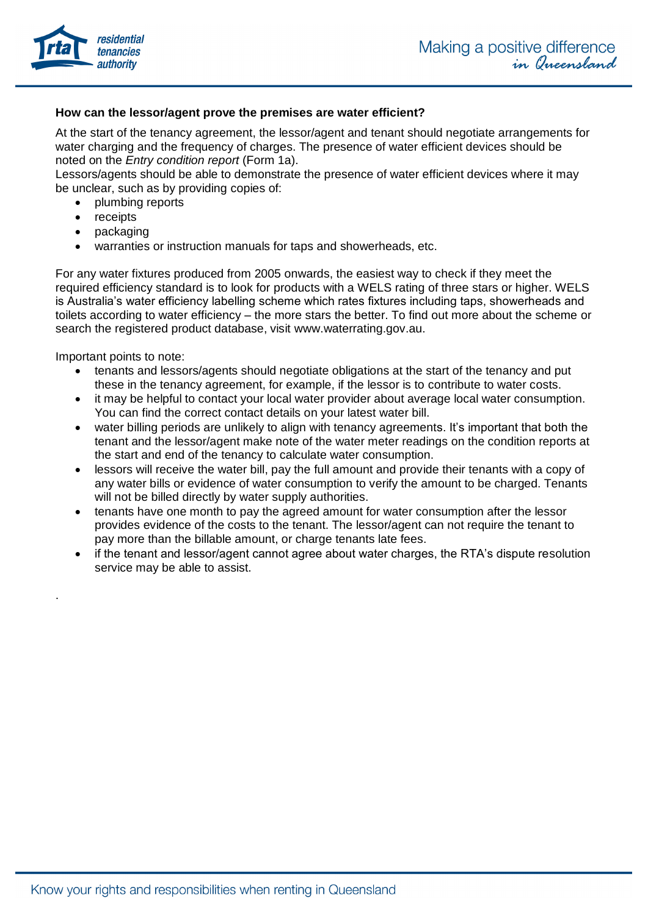

#### **How can the lessor/agent prove the premises are water efficient?**

At the start of the tenancy agreement, the lessor/agent and tenant should negotiate arrangements for water charging and the frequency of charges. The presence of water efficient devices should be noted on the *Entry condition report* (Form 1a).

Lessors/agents should be able to demonstrate the presence of water efficient devices where it may be unclear, such as by providing copies of:

- plumbing reports
- receipts
- packaging
- warranties or instruction manuals for taps and showerheads, etc.

For any water fixtures produced from 2005 onwards, the easiest way to check if they meet the required efficiency standard is to look for products with a WELS rating of three stars or higher. WELS is Australia's water efficiency labelling scheme which rates fixtures including taps, showerheads and toilets according to water efficiency – the more stars the better. To find out more about the scheme or search the registered product database, visit www.waterrating.gov.au.

Important points to note:

.

- tenants and lessors/agents should negotiate obligations at the start of the tenancy and put these in the tenancy agreement, for example, if the lessor is to contribute to water costs.
- it may be helpful to contact your local water provider about average local water consumption. You can find the correct contact details on your latest water bill.
- water billing periods are unlikely to align with tenancy agreements. It's important that both the tenant and the lessor/agent make note of the water meter readings on the condition reports at the start and end of the tenancy to calculate water consumption.
- lessors will receive the water bill, pay the full amount and provide their tenants with a copy of any water bills or evidence of water consumption to verify the amount to be charged. Tenants will not be billed directly by water supply authorities.
- tenants have one month to pay the agreed amount for water consumption after the lessor provides evidence of the costs to the tenant. The lessor/agent can not require the tenant to pay more than the billable amount, or charge tenants late fees.
- if the tenant and lessor/agent cannot agree about water charges, the RTA's dispute resolution service may be able to assist.